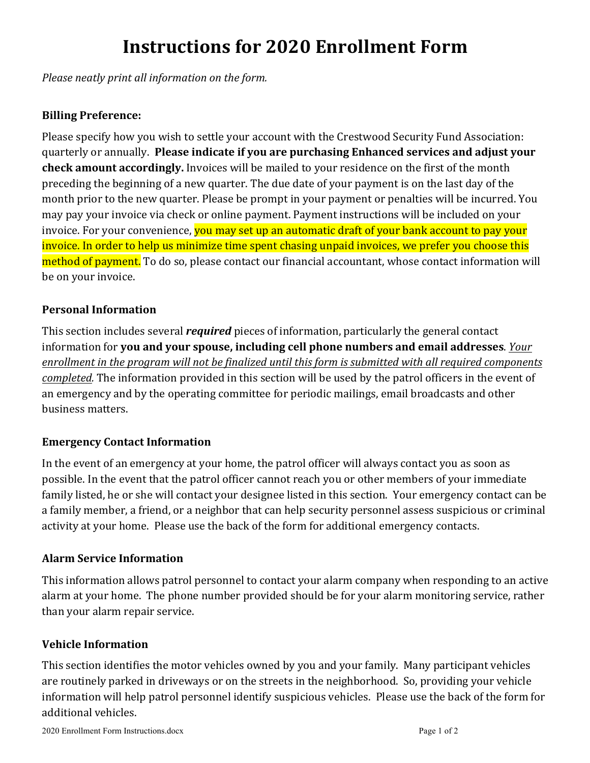# **Instructions for 2020 Enrollment Form**

*Please neatly print all information on the form.* 

# **Billing Preference:**

Please specify how you wish to settle your account with the Crestwood Security Fund Association: quarterly or annually. Please indicate if you are purchasing Enhanced services and adjust your **check amount accordingly.** Invoices will be mailed to your residence on the first of the month preceding the beginning of a new quarter. The due date of your payment is on the last day of the month prior to the new quarter. Please be prompt in your payment or penalties will be incurred. You may pay your invoice via check or online payment. Payment instructions will be included on your invoice. For your convenience, **you may set up an automatic draft of your bank account to pay your** invoice. In order to help us minimize time spent chasing unpaid invoices, we prefer you choose this method of payment. To do so, please contact our financial accountant, whose contact information will be on your invoice.

## **Personal Information**

This section includes several *required* pieces of information, particularly the general contact information for you and your spouse, including cell phone numbers and email addresses. *Your enrollment* in the program will not be finalized until this form is submitted with all required components *completed.* The information provided in this section will be used by the patrol officers in the event of an emergency and by the operating committee for periodic mailings, email broadcasts and other business matters.

## **Emergency Contact Information**

In the event of an emergency at your home, the patrol officer will always contact you as soon as possible. In the event that the patrol officer cannot reach you or other members of your immediate family listed, he or she will contact your designee listed in this section. Your emergency contact can be a family member, a friend, or a neighbor that can help security personnel assess suspicious or criminal activity at your home. Please use the back of the form for additional emergency contacts.

## **Alarm Service Information**

This information allows patrol personnel to contact your alarm company when responding to an active alarm at your home. The phone number provided should be for your alarm monitoring service, rather than your alarm repair service.

## **Vehicle Information**

This section identifies the motor vehicles owned by you and your family. Many participant vehicles are routinely parked in driveways or on the streets in the neighborhood. So, providing your vehicle information will help patrol personnel identify suspicious vehicles. Please use the back of the form for additional vehicles.